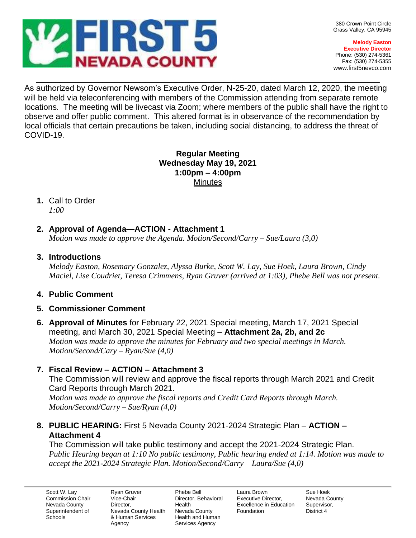

**Melody Easton Executive Director** Phone: (530) 274-5361 Fax: (530) 274-5355 www.first5nevco.com

 $\_$  , and the set of the set of the set of the set of the set of the set of the set of the set of the set of the set of the set of the set of the set of the set of the set of the set of the set of the set of the set of th As authorized by Governor Newsom's Executive Order, N-25-20, dated March 12, 2020, the meeting will be held via teleconferencing with members of the Commission attending from separate remote locations. The meeting will be livecast via Zoom; where members of the public shall have the right to observe and offer public comment. This altered format is in observance of the recommendation by local officials that certain precautions be taken, including social distancing, to address the threat of COVID-19.

#### **Regular Meeting Wednesday May 19, 2021 1:00pm – 4:00pm Minutes**

#### **1.** Call to Order *1:00*

# **2. Approval of Agenda—ACTION - Attachment 1**

*Motion was made to approve the Agenda. Motion/Second/Carry – Sue/Laura (3,0)*

## **3. Introductions**

*Melody Easton, Rosemary Gonzalez, Alyssa Burke, Scott W. Lay, Sue Hoek, Laura Brown, Cindy Maciel, Lise Coudriet, Teresa Crimmens, Ryan Gruver (arrived at 1:03), Phebe Bell was not present.* 

## **4. Public Comment**

## **5. Commissioner Comment**

**6. Approval of Minutes** for February 22, 2021 Special meeting, March 17, 2021 Special meeting, and March 30, 2021 Special Meeting – **Attachment 2a, 2b, and 2c** *Motion was made to approve the minutes for February and two special meetings in March. Motion/Second/Cary – Ryan/Sue (4,0)*

## **7. Fiscal Review – ACTION – Attachment 3**

The Commission will review and approve the fiscal reports through March 2021 and Credit Card Reports through March 2021. *Motion was made to approve the fiscal reports and Credit Card Reports through March.* 

*Motion/Second/Carry – Sue/Ryan (4,0)*

## **8. PUBLIC HEARING:** First 5 Nevada County 2021-2024 Strategic Plan – **ACTION – Attachment 4**

The Commission will take public testimony and accept the 2021-2024 Strategic Plan. *Public Hearing began at 1:10 No public testimony, Public hearing ended at 1:14. Motion was made to accept the 2021-2024 Strategic Plan. Motion/Second/Carry – Laura/Sue (4,0)*

Scott W. Lay Commission Chair Nevada County Superintendent of **Schools** 

Ryan Gruver Vice-Chair Director, Nevada County Health & Human Services Agency

Phebe Bell Director, Behavioral Health Nevada County Health and Human Services Agency

Laura Brown Executive Director, Excellence in Education Foundation

Sue Hoek Nevada County Supervisor, District 4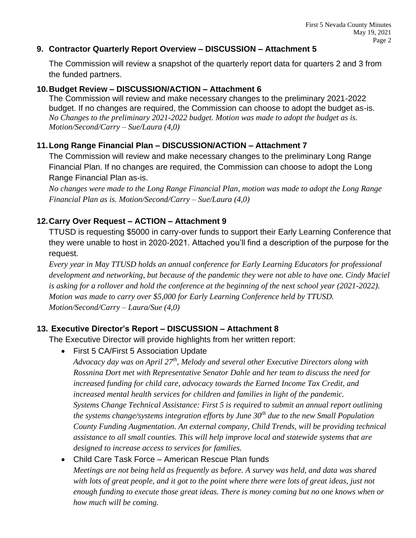#### **9. Contractor Quarterly Report Overview – DISCUSSION – Attachment 5**

The Commission will review a snapshot of the quarterly report data for quarters 2 and 3 from the funded partners.

#### **10.Budget Review – DISCUSSION/ACTION – Attachment 6**

The Commission will review and make necessary changes to the preliminary 2021-2022 budget. If no changes are required, the Commission can choose to adopt the budget as-is. *No Changes to the preliminary 2021-2022 budget. Motion was made to adopt the budget as is. Motion/Second/Carry – Sue/Laura (4,0)*

### **11.Long Range Financial Plan – DISCUSSION/ACTION – Attachment 7**

The Commission will review and make necessary changes to the preliminary Long Range Financial Plan. If no changes are required, the Commission can choose to adopt the Long Range Financial Plan as-is.

*No changes were made to the Long Range Financial Plan, motion was made to adopt the Long Range Financial Plan as is. Motion/Second/Carry – Sue/Laura (4,0)*

## **12.Carry Over Request – ACTION – Attachment 9**

TTUSD is requesting \$5000 in carry-over funds to support their Early Learning Conference that they were unable to host in 2020-2021. Attached you'll find a description of the purpose for the request.

*Every year in May TTUSD holds an annual conference for Early Learning Educators for professional development and networking, but because of the pandemic they were not able to have one. Cindy Maciel is asking for a rollover and hold the conference at the beginning of the next school year (2021-2022). Motion was made to carry over \$5,000 for Early Learning Conference held by TTUSD. Motion/Second/Carry – Laura/Sue (4,0)*

## **13. Executive Director's Report – DISCUSSION – Attachment 8**

The Executive Director will provide highlights from her written report:

• First 5 CA/First 5 Association Update

*Advocacy day was on April 27th, Melody and several other Executive Directors along with Rossnina Dort met with Representative Senator Dahle and her team to discuss the need for increased funding for child care, advocacy towards the Earned Income Tax Credit, and increased mental health services for children and families in light of the pandemic. Systems Change Technical Assistance: First 5 is required to submit an annual report outlining the systems change/systems integration efforts by June 30th due to the new Small Population County Funding Augmentation. An external company, Child Trends, will be providing technical assistance to all small counties. This will help improve local and statewide systems that are designed to increase access to services for families.* 

# • Child Care Task Force – American Rescue Plan funds *Meetings are not being held as frequently as before. A survey was held, and data was shared with lots of great people, and it got to the point where there were lots of great ideas, just not enough funding to execute those great ideas. There is money coming but no one knows when or how much will be coming.*